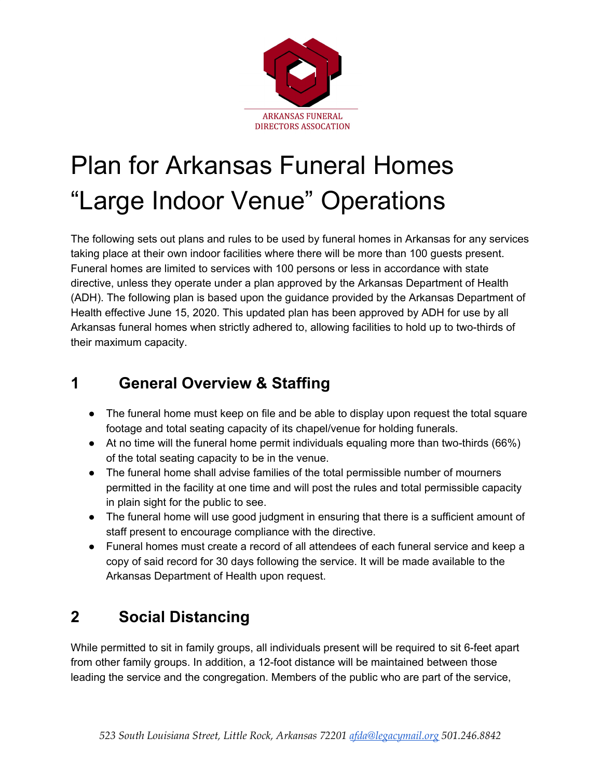

# Plan for Arkansas Funeral Homes "Large Indoor Venue" Operations

The following sets out plans and rules to be used by funeral homes in Arkansas for any services taking place at their own indoor facilities where there will be more than 100 guests present. Funeral homes are limited to services with 100 persons or less in accordance with state directive, unless they operate under a plan approved by the Arkansas Department of Health (ADH). The following plan is based upon the guidance provided by the Arkansas Department of Health effective June 15, 2020. This updated plan has been approved by ADH for use by all Arkansas funeral homes when strictly adhered to, allowing facilities to hold up to two-thirds of their maximum capacity.

## **1 General Overview & Staffing**

- The funeral home must keep on file and be able to display upon request the total square footage and total seating capacity of its chapel/venue for holding funerals.
- At no time will the funeral home permit individuals equaling more than two-thirds (66%) of the total seating capacity to be in the venue.
- The funeral home shall advise families of the total permissible number of mourners permitted in the facility at one time and will post the rules and total permissible capacity in plain sight for the public to see.
- The funeral home will use good judgment in ensuring that there is a sufficient amount of staff present to encourage compliance with the directive.
- Funeral homes must create a record of all attendees of each funeral service and keep a copy of said record for 30 days following the service. It will be made available to the Arkansas Department of Health upon request.

# **2 Social Distancing**

While permitted to sit in family groups, all individuals present will be required to sit 6-feet apart from other family groups. In addition, a 12-foot distance will be maintained between those leading the service and the congregation. Members of the public who are part of the service,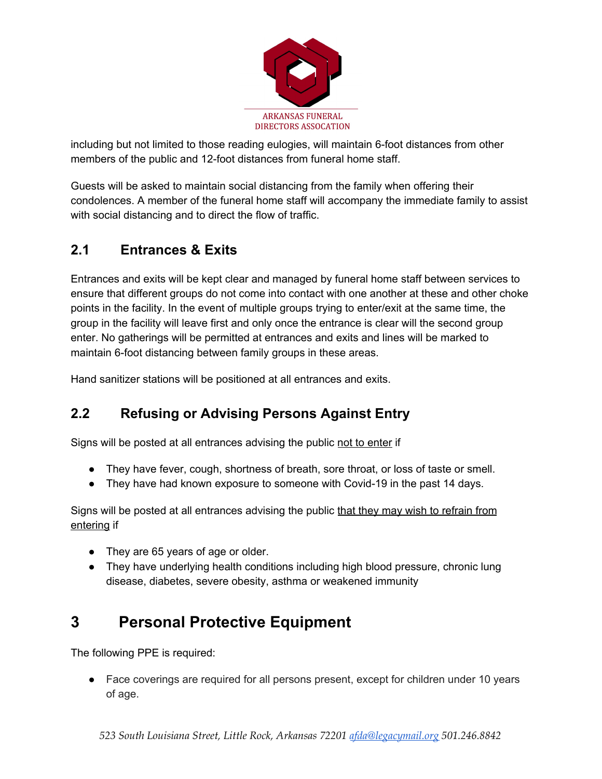

including but not limited to those reading eulogies, will maintain 6-foot distances from other members of the public and 12-foot distances from funeral home staff.

Guests will be asked to maintain social distancing from the family when offering their condolences. A member of the funeral home staff will accompany the immediate family to assist with social distancing and to direct the flow of traffic.

#### **2.1 Entrances & Exits**

Entrances and exits will be kept clear and managed by funeral home staff between services to ensure that different groups do not come into contact with one another at these and other choke points in the facility. In the event of multiple groups trying to enter/exit at the same time, the group in the facility will leave first and only once the entrance is clear will the second group enter. No gatherings will be permitted at entrances and exits and lines will be marked to maintain 6-foot distancing between family groups in these areas.

Hand sanitizer stations will be positioned at all entrances and exits.

#### **2.2 Refusing or Advising Persons Against Entry**

Signs will be posted at all entrances advising the public not to enter if

- They have fever, cough, shortness of breath, sore throat, or loss of taste or smell.
- They have had known exposure to someone with Covid-19 in the past 14 days.

Signs will be posted at all entrances advising the public that they may wish to refrain from entering if

- They are 65 years of age or older.
- They have underlying health conditions including high blood pressure, chronic lung disease, diabetes, severe obesity, asthma or weakened immunity

# **3 Personal Protective Equipment**

The following PPE is required:

• Face coverings are required for all persons present, except for children under 10 years of age.

*523 South Louisiana Street, Little Rock, Arkansas 72201 [afda@legacymail.org](mailto:afda@legacymail.org) 501.246.8842*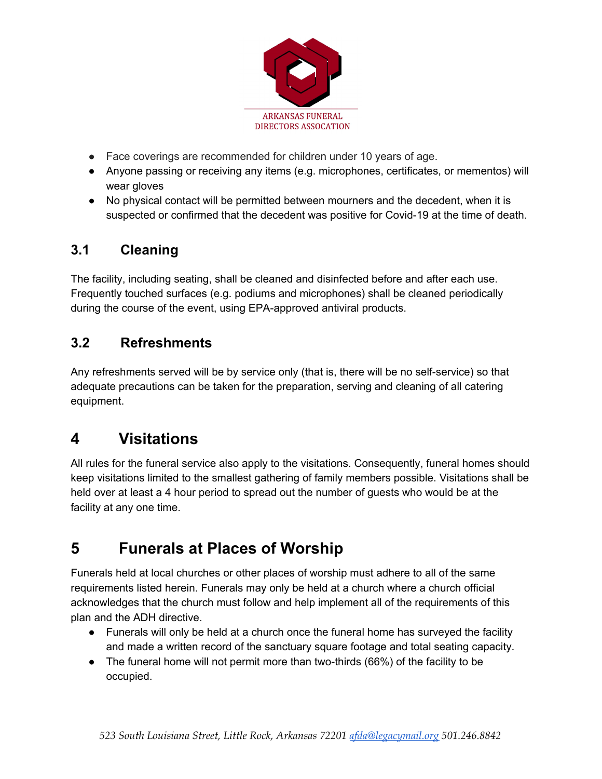

- Face coverings are recommended for children under 10 years of age.
- Anyone passing or receiving any items (e.g. microphones, certificates, or mementos) will wear gloves
- No physical contact will be permitted between mourners and the decedent, when it is suspected or confirmed that the decedent was positive for Covid-19 at the time of death.

#### **3.1 Cleaning**

The facility, including seating, shall be cleaned and disinfected before and after each use. Frequently touched surfaces (e.g. podiums and microphones) shall be cleaned periodically during the course of the event, using EPA-approved antiviral products.

#### **3.2 Refreshments**

Any refreshments served will be by service only (that is, there will be no self-service) so that adequate precautions can be taken for the preparation, serving and cleaning of all catering equipment.

### **4 Visitations**

All rules for the funeral service also apply to the visitations. Consequently, funeral homes should keep visitations limited to the smallest gathering of family members possible. Visitations shall be held over at least a 4 hour period to spread out the number of guests who would be at the facility at any one time.

## **5 Funerals at Places of Worship**

Funerals held at local churches or other places of worship must adhere to all of the same requirements listed herein. Funerals may only be held at a church where a church official acknowledges that the church must follow and help implement all of the requirements of this plan and the ADH directive.

- Funerals will only be held at a church once the funeral home has surveyed the facility and made a written record of the sanctuary square footage and total seating capacity.
- The funeral home will not permit more than two-thirds (66%) of the facility to be occupied.